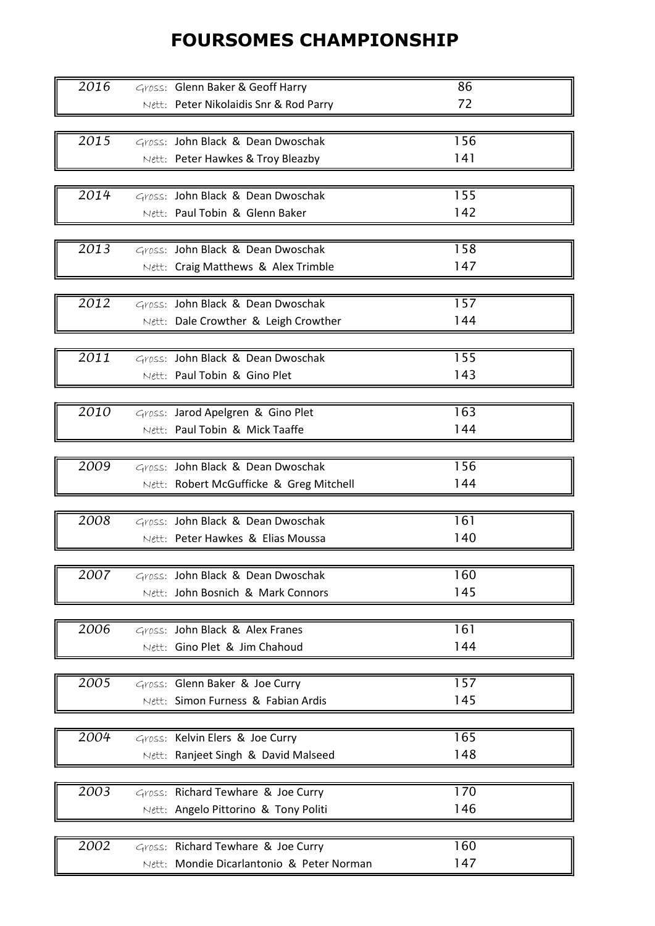## FOURSOMES CHAMPIONSHIP

| 2016              | Gross: Glenn Baker & Geoff Harry          | 86  |
|-------------------|-------------------------------------------|-----|
|                   |                                           |     |
|                   | Nett: Peter Nikolaidis Snr & Rod Parry    | 72  |
|                   |                                           |     |
| 2015              | Gross: John Black & Dean Dwoschak         | 156 |
|                   | Nett: Peter Hawkes & Troy Bleazby         | 141 |
|                   |                                           |     |
| 2014              | Gross: John Black & Dean Dwoschak         | 155 |
|                   | Nett: Paul Tobin & Glenn Baker            | 142 |
|                   |                                           |     |
| 2013              | Gross: John Black & Dean Dwoschak         | 158 |
|                   |                                           | 147 |
|                   | Nett: Craig Matthews & Alex Trimble       |     |
|                   |                                           |     |
| 2012              | Gross: John Black & Dean Dwoschak         | 157 |
|                   | Nett: Dale Crowther & Leigh Crowther      | 144 |
|                   |                                           |     |
| $\overline{2011}$ | Gross: John Black & Dean Dwoschak         | 155 |
|                   | Nett: Paul Tobin & Gino Plet              | 143 |
|                   |                                           |     |
| 2010              | Gross: Jarod Apelgren & Gino Plet         | 163 |
|                   | Nett: Paul Tobin & Mick Taaffe            | 144 |
|                   |                                           |     |
|                   |                                           |     |
| 2009              | Gross: John Black & Dean Dwoschak         | 156 |
|                   | Nett: Robert McGufficke & Greg Mitchell   | 144 |
|                   |                                           |     |
| 2008              | Gross: John Black & Dean Dwoschak         | 161 |
|                   | Nett: Peter Hawkes & Elias Moussa         | 140 |
|                   |                                           |     |
| 2007              | Gross: John Black & Dean Dwoschak         | 160 |
|                   | Nett: John Bosnich & Mark Connors         | 145 |
|                   |                                           |     |
| 2006              | Gross: John Black & Alex Franes           | 161 |
|                   |                                           |     |
|                   | Nett: Gino Plet & Jim Chahoud             | 144 |
|                   |                                           |     |
| 2005              | Gross: Glenn Baker & Joe Curry            | 157 |
|                   | Nett: Simon Furness & Fabian Ardis        | 145 |
|                   |                                           |     |
| 2004              | Gross: Kelvin Elers & Joe Curry           | 165 |
|                   | Nett: Ranjeet Singh & David Malseed       | 148 |
|                   |                                           |     |
| 2003              | Gross: Richard Tewhare & Joe Curry        | 170 |
|                   | Nett: Angelo Pittorino & Tony Politi      | 146 |
|                   |                                           |     |
|                   |                                           |     |
| 2002              | Gross: Richard Tewhare & Joe Curry        | 160 |
|                   | Nett: Mondie Dicarlantonio & Peter Norman | 147 |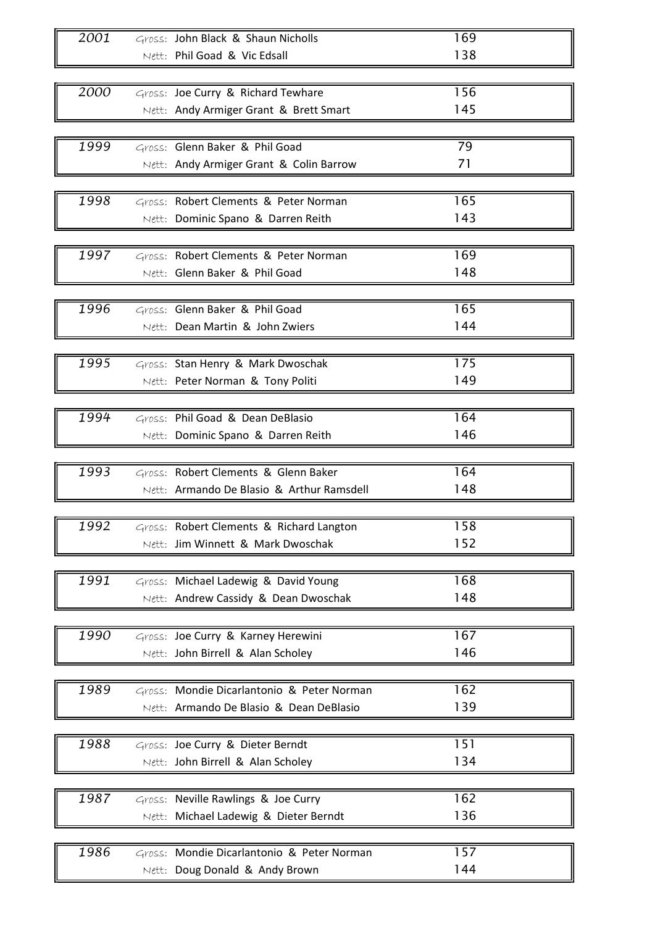| 2001 | Gross: John Black & Shaun Nicholls         | 169 |
|------|--------------------------------------------|-----|
|      | Nett: Phil Goad & Vic Edsall               | 138 |
|      |                                            |     |
|      |                                            |     |
| 2000 | Gross: Joe Curry & Richard Tewhare         | 156 |
|      | Nett: Andy Armiger Grant & Brett Smart     | 145 |
|      |                                            |     |
| 1999 | Gross: Glenn Baker & Phil Goad             | 79  |
|      | Nett: Andy Armiger Grant & Colin Barrow    | 71  |
|      |                                            |     |
| 1998 | Gross: Robert Clements & Peter Norman      | 165 |
|      | Nett: Dominic Spano & Darren Reith         | 143 |
|      |                                            |     |
| 1997 | Gross: Robert Clements & Peter Norman      | 169 |
|      |                                            |     |
|      | Nett: Glenn Baker & Phil Goad              | 148 |
|      |                                            |     |
| 1996 | Gross: Glenn Baker & Phil Goad             | 165 |
|      | Nett: Dean Martin & John Zwiers            | 144 |
|      |                                            |     |
| 1995 | Gross: Stan Henry & Mark Dwoschak          | 175 |
|      | Nett: Peter Norman & Tony Politi           | 149 |
|      |                                            |     |
| 1994 | Gross: Phil Goad & Dean DeBlasio           | 164 |
|      | Nett: Dominic Spano & Darren Reith         | 146 |
|      |                                            |     |
|      |                                            |     |
| 1993 | Gross: Robert Clements & Glenn Baker       | 164 |
|      | Nett: Armando De Blasio & Arthur Ramsdell  | 148 |
|      |                                            |     |
| 1992 | Gross: Robert Clements & Richard Langton   | 158 |
|      | Nett: Jim Winnett & Mark Dwoschak          | 152 |
|      |                                            |     |
| 1991 | Gross: Michael Ladewig & David Young       | 168 |
|      | Nett: Andrew Cassidy & Dean Dwoschak       | 148 |
|      |                                            |     |
| 1990 | Gross: Joe Curry & Karney Herewini         | 167 |
|      | Nett: John Birrell & Alan Scholey          | 146 |
|      |                                            |     |
|      |                                            |     |
| 1989 | Gross: Mondie Dicarlantonio & Peter Norman | 162 |
|      | Nett: Armando De Blasio & Dean DeBlasio    | 139 |
|      |                                            |     |
| 1988 | Gross: Joe Curry & Dieter Berndt           | 151 |
|      | Nett: John Birrell & Alan Scholey          | 134 |
|      |                                            |     |
| 1987 | Gross: Neville Rawlings & Joe Curry        | 162 |
|      | Nett: Michael Ladewig & Dieter Berndt      | 136 |
|      |                                            |     |
|      |                                            | 157 |
| 1986 | Gross: Mondie Dicarlantonio & Peter Norman |     |
|      | Nett: Doug Donald & Andy Brown             | 144 |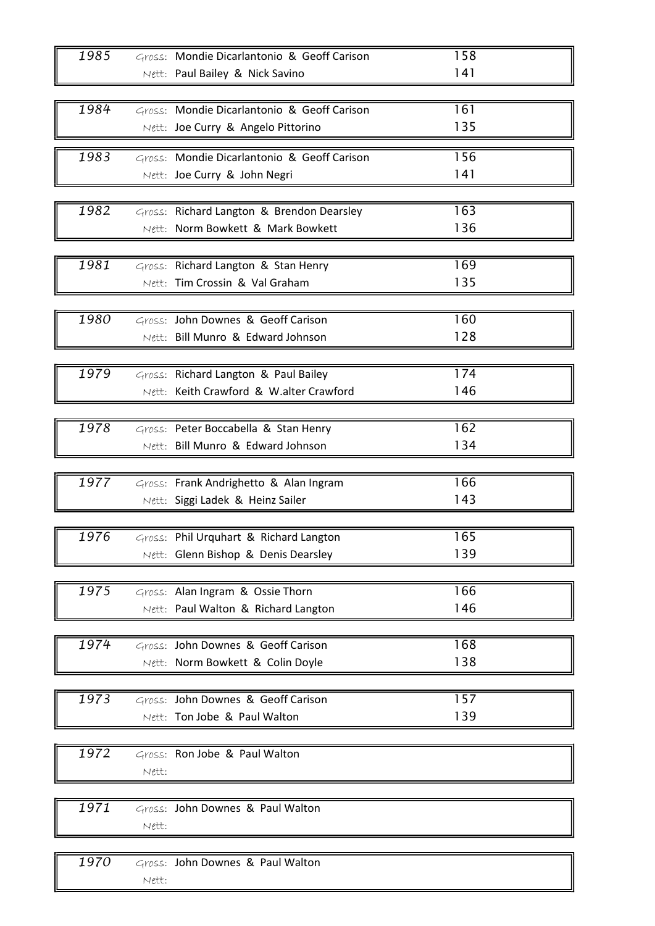| 1985 | Gross: Mondie Dicarlantonio & Geoff Carison                             | 158        |
|------|-------------------------------------------------------------------------|------------|
|      | Nett: Paul Bailey & Nick Savino                                         | 141        |
|      |                                                                         |            |
| 1984 | Gross: Mondie Dicarlantonio & Geoff Carison                             | 161        |
|      | Nett: Joe Curry & Angelo Pittorino                                      | 135        |
| 1983 | Gross: Mondie Dicarlantonio & Geoff Carison                             | 156        |
|      | Nett: Joe Curry & John Negri                                            | 141        |
|      |                                                                         |            |
| 1982 | Gross: Richard Langton & Brendon Dearsley                               | 163        |
|      | Nett: Norm Bowkett & Mark Bowkett                                       | 136        |
|      |                                                                         |            |
| 1981 | Gross: Richard Langton & Stan Henry                                     | 169        |
|      | Nett: Tim Crossin & Val Graham                                          | 135        |
|      |                                                                         |            |
| 1980 | Gross: John Downes & Geoff Carison<br>Nett: Bill Munro & Edward Johnson | 160<br>128 |
|      |                                                                         |            |
| 1979 | Gross: Richard Langton & Paul Bailey                                    | 174        |
|      | Nett: Keith Crawford & W.alter Crawford                                 | 146        |
|      |                                                                         |            |
| 1978 | Gross: Peter Boccabella & Stan Henry                                    | 162        |
|      | Nett: Bill Munro & Edward Johnson                                       | 134        |
|      |                                                                         |            |
| 1977 | Gross: Frank Andrighetto & Alan Ingram                                  | 166        |
|      | Nett: Siggi Ladek & Heinz Sailer                                        | 143        |
|      |                                                                         |            |
| 1976 | Gross: Phil Urquhart & Richard Langton                                  | 165        |
|      | Nett: Glenn Bishop & Denis Dearsley                                     | 139        |
|      |                                                                         |            |
| 1975 | Gross: Alan Ingram & Ossie Thorn                                        | 166        |
|      | Nett: Paul Walton & Richard Langton                                     | 146        |
| 1974 | Gross: John Downes & Geoff Carison                                      | 168        |
|      | Nett: Norm Bowkett & Colin Doyle                                        | 138        |
|      |                                                                         |            |
| 1973 | Gross: John Downes & Geoff Carison                                      | 157        |
|      | Nett: Ton Jobe & Paul Walton                                            | 139        |
|      |                                                                         |            |
| 1972 | Gross: Ron Jobe & Paul Walton                                           |            |
|      | Nett:                                                                   |            |
|      |                                                                         |            |
| 1971 | Gross: John Downes & Paul Walton                                        |            |
|      | Nett:                                                                   |            |
|      |                                                                         |            |
| 1970 | Gross: John Downes & Paul Walton                                        |            |
|      | Nett:                                                                   |            |